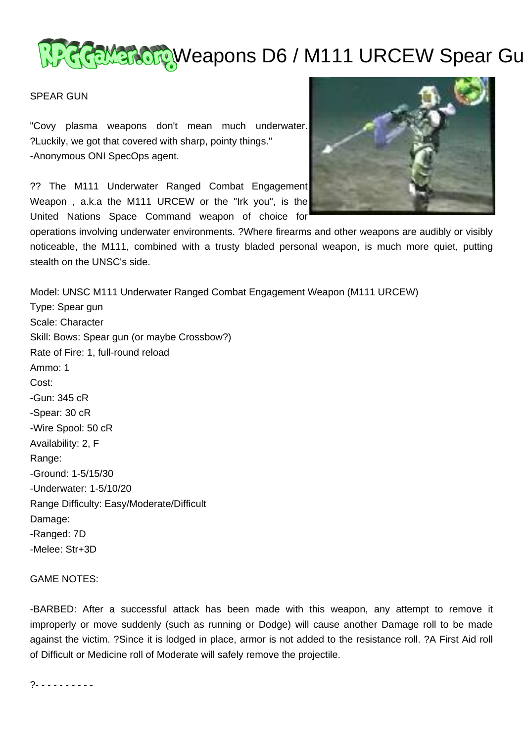# <u>WACCEMBROTO</u>Weapons D6 / M111 URCEW Spear Gu

### SPEAR GUN

"Covy plasma weapons don't mean much underwater. ?Luckily, we got that covered with sharp, pointy things." -Anonymous ONI SpecOps agent.

?? The M111 Underwater Ranged Combat Engagement Weapon , a.k.a the M111 URCEW or the "Irk you", is the United Nations Space Command weapon of choice for



operations involving underwater environments. ?Where firearms and other weapons are audibly or visibly noticeable, the M111, combined with a trusty bladed personal weapon, is much more quiet, putting stealth on the UNSC's side.

Model: UNSC M111 Underwater Ranged Combat Engagement Weapon (M111 URCEW) Type: Spear gun Scale: Character Skill: Bows: Spear gun (or maybe Crossbow?) Rate of Fire: 1, full-round reload Ammo: 1 Cost: -Gun: 345 cR -Spear: 30 cR -Wire Spool: 50 cR Availability: 2, F Range: -Ground: 1-5/15/30 -Underwater: 1-5/10/20 Range Difficulty: Easy/Moderate/Difficult Damage: -Ranged: 7D -Melee: Str+3D

#### GAME NOTES:

-BARBED: After a successful attack has been made with this weapon, any attempt to remove it improperly or move suddenly (such as running or Dodge) will cause another Damage roll to be made against the victim. ?Since it is lodged in place, armor is not added to the resistance roll. ?A First Aid roll of Difficult or Medicine roll of Moderate will safely remove the projectile.

?- - - - - - - - - -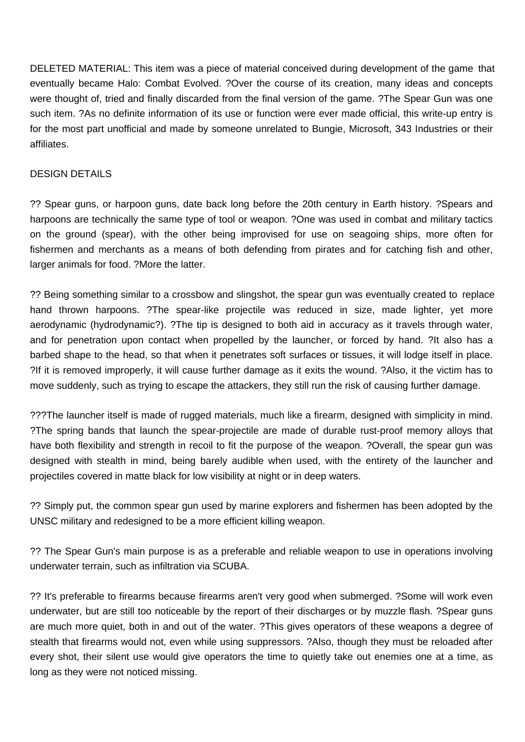DELETED MATERIAL: This item was a piece of material conceived during development of the game that eventually became Halo: Combat Evolved. ?Over the course of its creation, many ideas and concepts were thought of, tried and finally discarded from the final version of the game. ?The Spear Gun was one such item. ?As no definite information of its use or function were ever made official, this write-up entry is for the most part unofficial and made by someone unrelated to Bungie, Microsoft, 343 Industries or their affiliates.

## DESIGN DETAILS

?? Spear guns, or harpoon guns, date back long before the 20th century in Earth history. ?Spears and harpoons are technically the same type of tool or weapon. ?One was used in combat and military tactics on the ground (spear), with the other being improvised for use on seagoing ships, more often for fishermen and merchants as a means of both defending from pirates and for catching fish and other, larger animals for food. ?More the latter.

?? Being something similar to a crossbow and slingshot, the spear gun was eventually created to replace hand thrown harpoons. ?The spear-like projectile was reduced in size, made lighter, yet more aerodynamic (hydrodynamic?). ?The tip is designed to both aid in accuracy as it travels through water, and for penetration upon contact when propelled by the launcher, or forced by hand. ?It also has a barbed shape to the head, so that when it penetrates soft surfaces or tissues, it will lodge itself in place. ?If it is removed improperly, it will cause further damage as it exits the wound. ?Also, it the victim has to move suddenly, such as trying to escape the attackers, they still run the risk of causing further damage.

???The launcher itself is made of rugged materials, much like a firearm, designed with simplicity in mind. ?The spring bands that launch the spear-projectile are made of durable rust-proof memory alloys that have both flexibility and strength in recoil to fit the purpose of the weapon. ?Overall, the spear gun was designed with stealth in mind, being barely audible when used, with the entirety of the launcher and projectiles covered in matte black for low visibility at night or in deep waters.

?? Simply put, the common spear gun used by marine explorers and fishermen has been adopted by the UNSC military and redesigned to be a more efficient killing weapon.

?? The Spear Gun's main purpose is as a preferable and reliable weapon to use in operations involving underwater terrain, such as infiltration via SCUBA.

?? It's preferable to firearms because firearms aren't very good when submerged. ?Some will work even underwater, but are still too noticeable by the report of their discharges or by muzzle flash. ?Spear guns are much more quiet, both in and out of the water. ?This gives operators of these weapons a degree of stealth that firearms would not, even while using suppressors. ?Also, though they must be reloaded after every shot, their silent use would give operators the time to quietly take out enemies one at a time, as long as they were not noticed missing.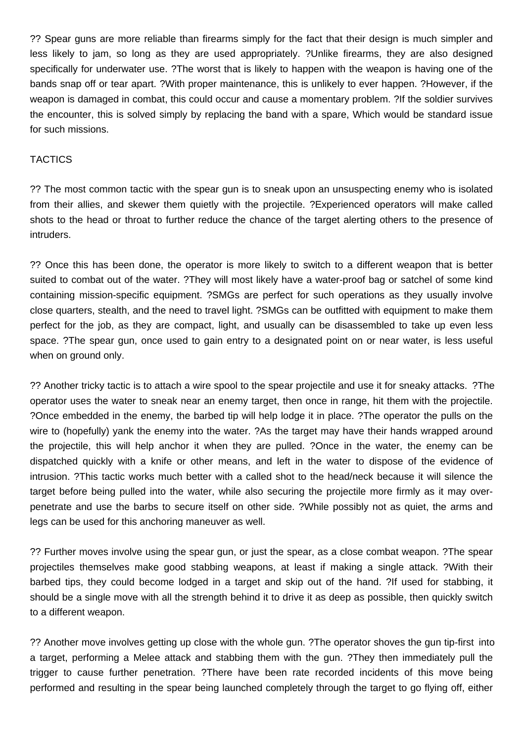?? Spear guns are more reliable than firearms simply for the fact that their design is much simpler and less likely to jam, so long as they are used appropriately. ?Unlike firearms, they are also designed specifically for underwater use. ?The worst that is likely to happen with the weapon is having one of the bands snap off or tear apart. ?With proper maintenance, this is unlikely to ever happen. ?However, if the weapon is damaged in combat, this could occur and cause a momentary problem. ?If the soldier survives the encounter, this is solved simply by replacing the band with a spare, Which would be standard issue for such missions.

## **TACTICS**

?? The most common tactic with the spear gun is to sneak upon an unsuspecting enemy who is isolated from their allies, and skewer them quietly with the projectile. ?Experienced operators will make called shots to the head or throat to further reduce the chance of the target alerting others to the presence of intruders.

?? Once this has been done, the operator is more likely to switch to a different weapon that is better suited to combat out of the water. ?They will most likely have a water-proof bag or satchel of some kind containing mission-specific equipment. ?SMGs are perfect for such operations as they usually involve close quarters, stealth, and the need to travel light. ?SMGs can be outfitted with equipment to make them perfect for the job, as they are compact, light, and usually can be disassembled to take up even less space. ?The spear gun, once used to gain entry to a designated point on or near water, is less useful when on ground only.

?? Another tricky tactic is to attach a wire spool to the spear projectile and use it for sneaky attacks. ?The operator uses the water to sneak near an enemy target, then once in range, hit them with the projectile. ?Once embedded in the enemy, the barbed tip will help lodge it in place. ?The operator the pulls on the wire to (hopefully) yank the enemy into the water. ?As the target may have their hands wrapped around the projectile, this will help anchor it when they are pulled. ?Once in the water, the enemy can be dispatched quickly with a knife or other means, and left in the water to dispose of the evidence of intrusion. ?This tactic works much better with a called shot to the head/neck because it will silence the target before being pulled into the water, while also securing the projectile more firmly as it may overpenetrate and use the barbs to secure itself on other side. ?While possibly not as quiet, the arms and legs can be used for this anchoring maneuver as well.

?? Further moves involve using the spear gun, or just the spear, as a close combat weapon. ?The spear projectiles themselves make good stabbing weapons, at least if making a single attack. ?With their barbed tips, they could become lodged in a target and skip out of the hand. ?If used for stabbing, it should be a single move with all the strength behind it to drive it as deep as possible, then quickly switch to a different weapon.

?? Another move involves getting up close with the whole gun. ?The operator shoves the gun tip-first into a target, performing a Melee attack and stabbing them with the gun. ?They then immediately pull the trigger to cause further penetration. ?There have been rate recorded incidents of this move being performed and resulting in the spear being launched completely through the target to go flying off, either